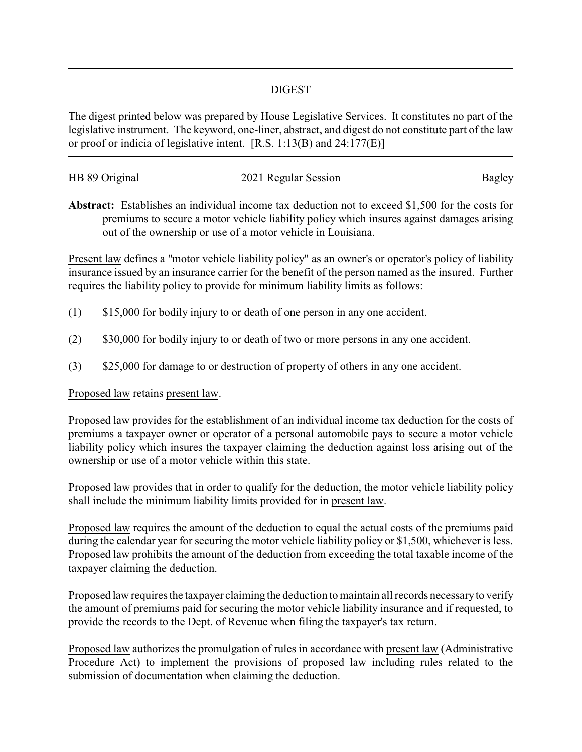## DIGEST

The digest printed below was prepared by House Legislative Services. It constitutes no part of the legislative instrument. The keyword, one-liner, abstract, and digest do not constitute part of the law or proof or indicia of legislative intent. [R.S. 1:13(B) and 24:177(E)]

| HB 89 Original | 2021 Regular Session | Bagley |
|----------------|----------------------|--------|
|                |                      |        |

**Abstract:** Establishes an individual income tax deduction not to exceed \$1,500 for the costs for premiums to secure a motor vehicle liability policy which insures against damages arising out of the ownership or use of a motor vehicle in Louisiana.

Present law defines a "motor vehicle liability policy" as an owner's or operator's policy of liability insurance issued by an insurance carrier for the benefit of the person named as the insured. Further requires the liability policy to provide for minimum liability limits as follows:

- (1) \$15,000 for bodily injury to or death of one person in any one accident.
- (2) \$30,000 for bodily injury to or death of two or more persons in any one accident.
- (3) \$25,000 for damage to or destruction of property of others in any one accident.

Proposed law retains present law.

Proposed law provides for the establishment of an individual income tax deduction for the costs of premiums a taxpayer owner or operator of a personal automobile pays to secure a motor vehicle liability policy which insures the taxpayer claiming the deduction against loss arising out of the ownership or use of a motor vehicle within this state.

Proposed law provides that in order to qualify for the deduction, the motor vehicle liability policy shall include the minimum liability limits provided for in present law.

Proposed law requires the amount of the deduction to equal the actual costs of the premiums paid during the calendar year for securing the motor vehicle liability policy or \$1,500, whichever is less. Proposed law prohibits the amount of the deduction from exceeding the total taxable income of the taxpayer claiming the deduction.

Proposed law requires the taxpayer claiming the deduction to maintain all records necessaryto verify the amount of premiums paid for securing the motor vehicle liability insurance and if requested, to provide the records to the Dept. of Revenue when filing the taxpayer's tax return.

Proposed law authorizes the promulgation of rules in accordance with present law (Administrative Procedure Act) to implement the provisions of proposed law including rules related to the submission of documentation when claiming the deduction.